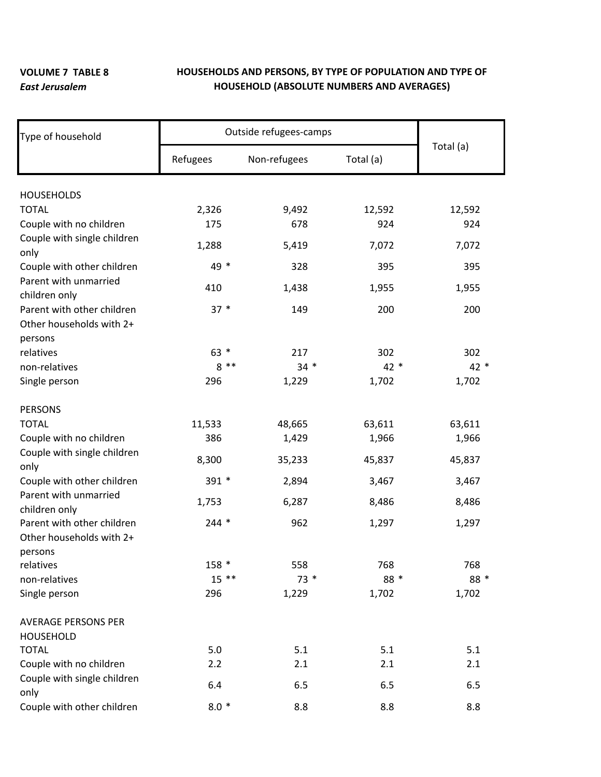## **VOLUME 7 TABLE 8**  *East Jerusalem*

## **HOUSEHOLDS AND PERSONS, BY TYPE OF POPULATION AND TYPE OF HOUSEHOLD (ABSOLUTE NUMBERS AND AVERAGES)**

| Type of household           | Outside refugees-camps |              |           |           |
|-----------------------------|------------------------|--------------|-----------|-----------|
|                             | Refugees               | Non-refugees | Total (a) | Total (a) |
| <b>HOUSEHOLDS</b>           |                        |              |           |           |
| <b>TOTAL</b>                | 2,326                  | 9,492        | 12,592    | 12,592    |
| Couple with no children     | 175                    | 678          | 924       | 924       |
| Couple with single children |                        |              |           |           |
| only                        | 1,288                  | 5,419        | 7,072     | 7,072     |
| Couple with other children  | 49 *                   | 328          | 395       | 395       |
| Parent with unmarried       |                        |              |           |           |
| children only               | 410                    | 1,438        | 1,955     | 1,955     |
| Parent with other children  | $37 *$                 | 149          | 200       | 200       |
| Other households with 2+    |                        |              |           |           |
| persons                     |                        |              |           |           |
| relatives                   | $63 *$                 | 217          | 302       | 302       |
| non-relatives               | $8**$                  | $34 *$       | 42 *      | $42*$     |
| Single person               | 296                    | 1,229        | 1,702     | 1,702     |
| <b>PERSONS</b>              |                        |              |           |           |
| <b>TOTAL</b>                | 11,533                 | 48,665       | 63,611    | 63,611    |
| Couple with no children     | 386                    | 1,429        | 1,966     | 1,966     |
| Couple with single children | 8,300                  | 35,233       | 45,837    | 45,837    |
| only                        |                        |              |           |           |
| Couple with other children  | 391 *                  | 2,894        | 3,467     | 3,467     |
| Parent with unmarried       | 1,753                  | 6,287        | 8,486     | 8,486     |
| children only               |                        |              |           |           |
| Parent with other children  | $244 *$                | 962          | 1,297     | 1,297     |
| Other households with 2+    |                        |              |           |           |
| persons                     |                        |              |           |           |
| relatives                   | 158 *                  | 558          | 768       | 768       |
| non-relatives               | $15$ **                | $73*$        | 88 *      | 88 *      |
| Single person               | 296                    | 1,229        | 1,702     | 1,702     |
| <b>AVERAGE PERSONS PER</b>  |                        |              |           |           |
| <b>HOUSEHOLD</b>            |                        |              |           |           |
| <b>TOTAL</b>                | 5.0                    | 5.1          | 5.1       | 5.1       |
| Couple with no children     | 2.2                    | 2.1          | 2.1       | 2.1       |
| Couple with single children | 6.4                    | 6.5          | 6.5       | 6.5       |
| only                        |                        |              |           |           |
| Couple with other children  | $8.0*$                 | 8.8          | 8.8       | 8.8       |